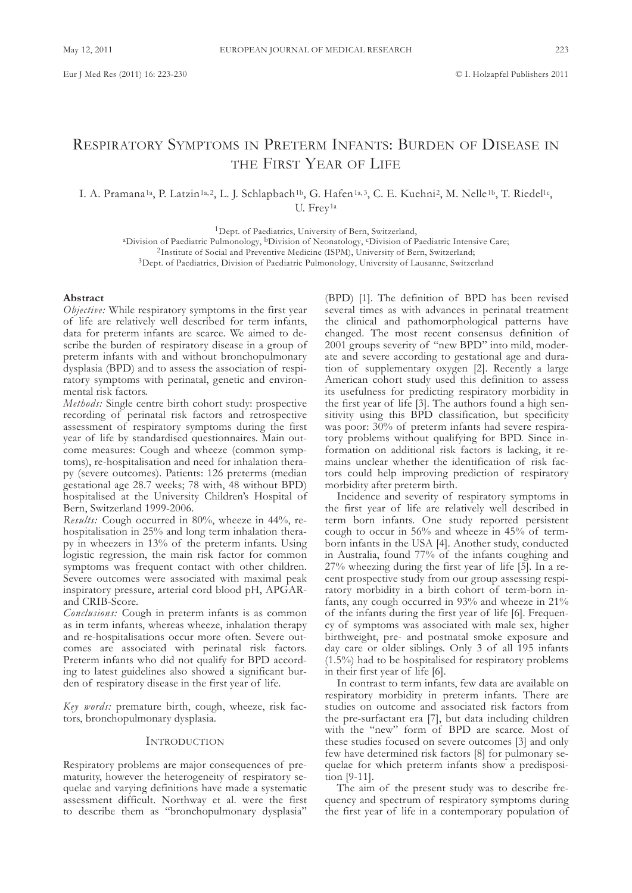# REsPIRatoRy syMPtoMs In PREtERM Infants: BuRdEn of dIsEasE In THE FIRST YEAR OF LIFE

I. A. Pramana<sup>1a</sup>, P. Latzin<sup>1a, 2</sup>, L. J. Schlapbach<sup>1b</sup>, G. Hafen<sup>1a, 3</sup>, C. E. Kuehni<sup>2</sup>, M. Nelle<sup>1b</sup>, T. Riedel<sup>1c</sup>, U. Frey<sup>1a</sup>

<sup>1</sup>Dept. of Paediatrics, University of Bern, Switzerland,

<sup>a</sup>Division of Paediatric Pulmonology, <sup>b</sup>Division of Neonatology, <sup>c</sup>Division of Paediatric Intensive Care;

<sup>2</sup>Institute of Social and Preventive Medicine (ISPM), University of Bern, Switzerland;

<sup>3</sup>Dept. of Paediatrics, Division of Paediatric Pulmonology, University of Lausanne, Switzerland

# **Abstract**

*Objective:* While respiratory symptoms in the first year of life are relatively well described for term infants, data for preterm infants are scarce. We aimed to describe the burden of respiratory disease in a group of preterm infants with and without bronchopulmonary dysplasia (BPD) and to assess the association of respiratory symptoms with perinatal, genetic and environmental risk factors.

*Methods:* single centre birth cohort study: prospective recording of perinatal risk factors and retrospective assessment of respiratory symptoms during the first year of life by standardised questionnaires. Main outcome measures: Cough and wheeze (common symptoms), re-hospitalisation and need for inhalation therapy (severe outcomes). Patients: 126 preterms (median gestational age 28.7 weeks; 78 with, 48 without BPd) hospitalised at the University Children's Hospital of Bern, switzerland 1999-2006.

*Results:* Cough occurred in 80%, wheeze in 44%, rehospitalisation in 25% and long term inhalation therapy in wheezers in 13% of the preterm infants. Using logistic regression, the main risk factor for common symptoms was frequent contact with other children. severe outcomes were associated with maximal peak inspiratory pressure, arterial cord blood pH, aPGaRand CRIB-Score.

*Conclusions:* Cough in preterm infants is as common as in term infants, whereas wheeze, inhalation therapy and re-hospitalisations occur more often. severe outcomes are associated with perinatal risk factors. Preterm infants who did not qualify for BPD according to latest guidelines also showed a significant burden of respiratory disease in the first year of life.

*Key words:* premature birth, cough, wheeze, risk factors, bronchopulmonary dysplasia.

# **INTRODUCTION**

Respiratory problems are major consequences of prematurity, however the heterogeneity of respiratory sequelae and varying definitions have made a systematic assessment difficult. northway et al. were the first to describe them as "bronchopulmonary dysplasia"

(BPD) [1]. The definition of BPD has been revised several times as with advances in perinatal treatment the clinical and pathomorphological patterns have changed. the most recent consensus definition of 2001 groups severity of "new BPD" into mild, moderate and severe according to gestational age and duration of supplementary oxygen [2]. Recently a large American cohort study used this definition to assess its usefulness for predicting respiratory morbidity in the first year of life [3]. The authors found a high sensitivity using this BPD classification, but specificity was poor: 30% of preterm infants had severe respiratory problems without qualifying for BPD. Since information on additional risk factors is lacking, it remains unclear whether the identification of risk factors could help improving prediction of respiratory morbidity after preterm birth.

Incidence and severity of respiratory symptoms in the first year of life are relatively well described in term born infants. One study reported persistent cough to occur in 56% and wheeze in 45% of termborn infants in the USA [4]. Another study, conducted in Australia, found 77% of the infants coughing and 27% wheezing during the first year of life [5]. In a recent prospective study from our group assessing respiratory morbidity in a birth cohort of term-born infants, any cough occurred in 93% and wheeze in 21% of the infants during the first year of life [6]. frequency of symptoms was associated with male sex, higher birthweight, pre- and postnatal smoke exposure and day care or older siblings. Only 3 of all 195 infants (1.5%) had to be hospitalised for respiratory problems in their first year of life [6].

In contrast to term infants, few data are available on respiratory morbidity in preterm infants. There are studies on outcome and associated risk factors from the pre-surfactant era [7], but data including children with the "new" form of BPD are scarce. Most of these studies focused on severe outcomes [3] and only few have determined risk factors [8] for pulmonary sequelae for which preterm infants show a predisposition [9-11].

The aim of the present study was to describe frequency and spectrum of respiratory symptoms during the first year of life in a contemporary population of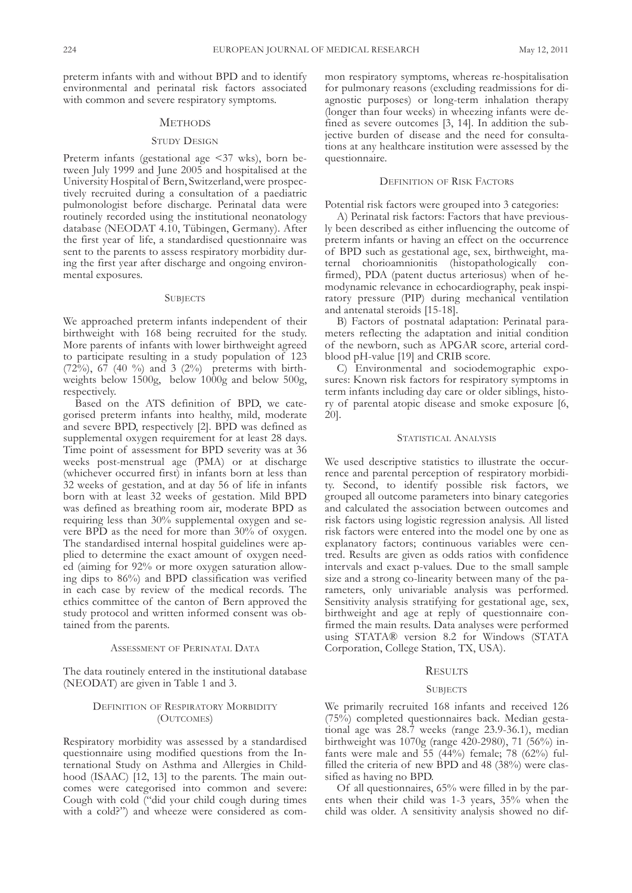preterm infants with and without BPD and to identify environmental and perinatal risk factors associated with common and severe respiratory symptoms.

# **METHODS**

# STUDY DESIGN

Preterm infants (gestational age <37 wks), born between July 1999 and June 2005 and hospitalised at the University Hospital of Bern, Switzerland, were prospectively recruited during a consultation of a paediatric pulmonologist before discharge. Perinatal data were routinely recorded using the institutional neonatology database (NEODAT 4.10, Tübingen, Germany). After the first year of life, a standardised questionnaire was sent to the parents to assess respiratory morbidity during the first year after discharge and ongoing environmental exposures.

# **SUBJECTS**

We approached preterm infants independent of their birthweight with 168 being recruited for the study. More parents of infants with lower birthweight agreed to participate resulting in a study population of 123 (72%), 67 (40 %) and 3 (2%) preterms with birthweights below 1500g, below 1000g and below 500g, respectively.

Based on the ATS definition of BPD, we categorised preterm infants into healthy, mild, moderate and severe BPD, respectively [2]. BPD was defined as supplemental oxygen requirement for at least 28 days. Time point of assessment for BPD severity was at 36 weeks post-menstrual age (PMa) or at discharge (whichever occurred first) in infants born at less than 32 weeks of gestation, and at day 56 of life in infants born with at least 32 weeks of gestation. Mild BPD was defined as breathing room air, moderate BPD as requiring less than 30% supplemental oxygen and severe BPD as the need for more than 30% of oxygen. The standardised internal hospital guidelines were applied to determine the exact amount of oxygen needed (aiming for 92% or more oxygen saturation allowing dips to 86%) and BPD classification was verified in each case by review of the medical records. The ethics committee of the canton of Bern approved the study protocol and written informed consent was obtained from the parents.

#### ASSESSMENT OF PERINATAL DATA

The data routinely entered in the institutional database (NEODAT) are given in Table 1 and 3.

# DEFINITION OF RESPIRATORY MORBIDITY (OUTCOMES)

Respiratory morbidity was assessed by a standardised questionnaire using modified questions from the International study on asthma and allergies in Childhood (ISAAC) [12, 13] to the parents. The main outcomes were categorised into common and severe: Cough with cold ("did your child cough during times with a cold?") and wheeze were considered as common respiratory symptoms, whereas re-hospitalisation for pulmonary reasons (excluding readmissions for diagnostic purposes) or long-term inhalation therapy (longer than four weeks) in wheezing infants were defined as severe outcomes [3, 14]. In addition the subjective burden of disease and the need for consultations at any healthcare institution were assessed by the questionnaire.

# DEFINITION OF RISK FACTORS

Potential risk factors were grouped into 3 categories:

a) Perinatal risk factors: factors that have previously been described as either influencing the outcome of preterm infants or having an effect on the occurrence of BPd such as gestational age, sex, birthweight, maternal chorioamnionitis (histopathologically confirmed), PDA (patent ductus arteriosus) when of hemodynamic relevance in echocardiography, peak inspiratory pressure (PIP) during mechanical ventilation and antenatal steroids [15-18].

B) factors of postnatal adaptation: Perinatal parameters reflecting the adaptation and initial condition of the newborn, such as aPGaR score, arterial cordblood pH-value [19] and CRIB score.

C) Environmental and sociodemographic exposures: Known risk factors for respiratory symptoms in term infants including day care or older siblings, history of parental atopic disease and smoke exposure [6, 20].

# STATISTICAL ANALYSIS

We used descriptive statistics to illustrate the occurrence and parental perception of respiratory morbidity. second, to identify possible risk factors, we grouped all outcome parameters into binary categories and calculated the association between outcomes and risk factors using logistic regression analysis. all listed risk factors were entered into the model one by one as explanatory factors; continuous variables were centred. Results are given as odds ratios with confidence intervals and exact p-values. Due to the small sample size and a strong co-linearity between many of the parameters, only univariable analysis was performed. sensitivity analysis stratifying for gestational age, sex, birthweight and age at reply of questionnaire confirmed the main results. Data analyses were performed using STATA® version 8.2 for Windows (STATA Corporation, College Station, TX, USA).

#### **RESULTS**

#### **SUBJECTS**

We primarily recruited 168 infants and received 126 (75%) completed questionnaires back. Median gestational age was 28.7 weeks (range 23.9-36.1), median birthweight was 1070g (range 420-2980), 71 (56%) infants were male and  $55$  (44%) female; 78 (62%) fulfilled the criteria of new BPD and 48 (38%) were classified as having no BPD.

of all questionnaires, 65% were filled in by the parents when their child was 1-3 years, 35% when the child was older. A sensitivity analysis showed no dif-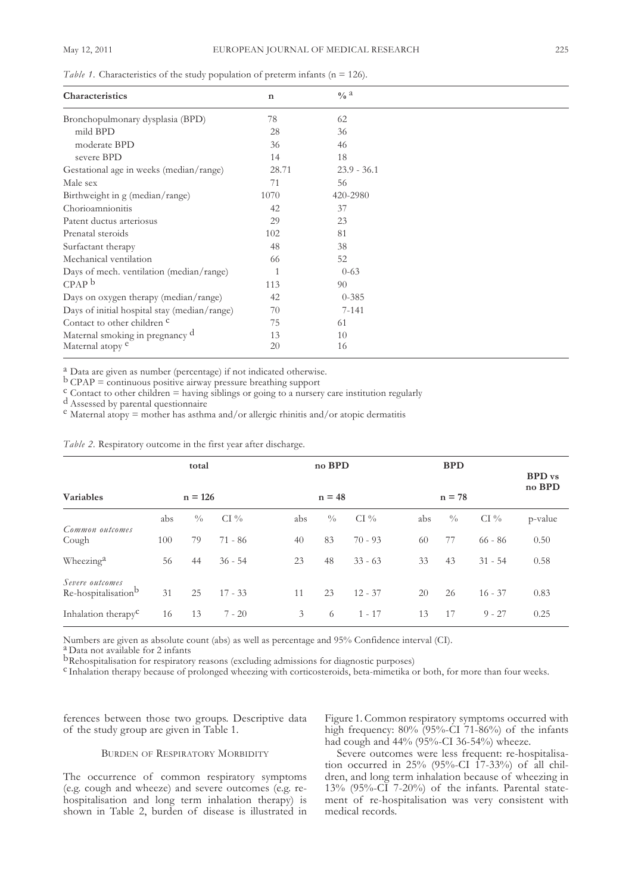| Characteristics                              | $\mathbf n$ | $\frac{0}{6}a$ |  |
|----------------------------------------------|-------------|----------------|--|
| Bronchopulmonary dysplasia (BPD)             | 78          | 62             |  |
| mild BPD                                     | 28          | 36             |  |
| moderate BPD                                 | 36          | 46             |  |
| severe BPD                                   | 14          | 18             |  |
| Gestational age in weeks (median/range)      | 28.71       | $23.9 - 36.1$  |  |
| Male sex                                     | 71          | 56             |  |
| Birthweight in g (median/range)              | 1070        | 420-2980       |  |
| Chorioamnionitis                             | 42          | 37             |  |
| Patent ductus arteriosus                     | 29          | 23             |  |
| Prenatal steroids                            | 102         | 81             |  |
| Surfactant therapy                           | 48          | 38             |  |
| Mechanical ventilation                       | 66          | 52             |  |
| Days of mech. ventilation (median/range)     |             | $0 - 63$       |  |
| CPAP <sup>b</sup>                            | 113         | 90             |  |
| Days on oxygen therapy (median/range)        | 42          | $0 - 385$      |  |
| Days of initial hospital stay (median/range) | 70          | $7 - 141$      |  |
| Contact to other children <sup>c</sup>       | 75          | 61             |  |
| Maternal smoking in pregnancy d              | 13          | 10             |  |
| Maternal atopy <sup>e</sup>                  | 20          | 16             |  |

*Table 1.* Characteristics of the study population of preterm infants (n = 126).

<sup>a</sup> Data are given as number (percentage) if not indicated otherwise.<br>
<sup>b</sup> CPAP = continuous positive airway pressure breathing support<br>
<sup>c</sup> Contact to other children = having siblings or going to a nursery care instituti

|                                                    |     | total         |           |     | no BPD        |           |     | <b>BPD</b>    |           | <b>BPD</b> vs<br>no BPD |
|----------------------------------------------------|-----|---------------|-----------|-----|---------------|-----------|-----|---------------|-----------|-------------------------|
| <b>Variables</b>                                   |     | $n = 126$     |           |     | $n = 48$      |           |     | $n = 78$      |           |                         |
|                                                    | abs | $\frac{0}{0}$ | $CI\%$    | abs | $\frac{0}{0}$ | $CI\%$    | abs | $\frac{0}{0}$ | $CI\%$    | p-value                 |
| Common outcomes<br>Cough                           | 100 | 79            | $71 - 86$ | 40  | 83            | $70 - 93$ | 60  | 77            | $66 - 86$ | 0.50                    |
| Wheezing <sup>a</sup>                              | 56  | 44            | $36 - 54$ | 23  | 48            | $33 - 63$ | 33  | 43            | $31 - 54$ | 0.58                    |
| Severe outcomes<br>Re-hospitalisation <sup>b</sup> | 31  | 25            | $17 - 33$ | 11  | 23            | $12 - 37$ | 20  | 26            | $16 - 37$ | 0.83                    |
| Inhalation therapy <sup>C</sup>                    | 16  | 13            | $7 - 20$  | 3   | 6             | $1 - 17$  | 13  | 17            | $9 - 27$  | 0.25                    |

*Table 2.* Respiratory outcome in the first year after discharge.

Numbers are given as absolute count (abs) as well as percentage and 95% Confidence interval (CI).<br>
<sup>a</sup> Data not available for 2 infants<br>
<sup>b</sup>Rehospitalisation for respiratory reasons (excluding admissions for diagnostic pur

ferences between those two groups. Descriptive data of the study group are given in Table 1.

# BURDEN OF RESPIRATORY MORBIDITY

The occurrence of common respiratory symptoms (e.g. cough and wheeze) and severe outcomes (e.g. rehospitalisation and long term inhalation therapy) is shown in table 2, burden of disease is illustrated in figure 1. Common respiratory symptoms occurred with high frequency:  $80\%$  (95%-CI 71-86%) of the infants had cough and 44% (95%-CI 36-54%) wheeze.

severe outcomes were less frequent: re-hospitalisation occurred in 25% (95%-CI 17-33%) of all children, and long term inhalation because of wheezing in 13% (95%-CI 7-20%) of the infants. Parental statement of re-hospitalisation was very consistent with medical records.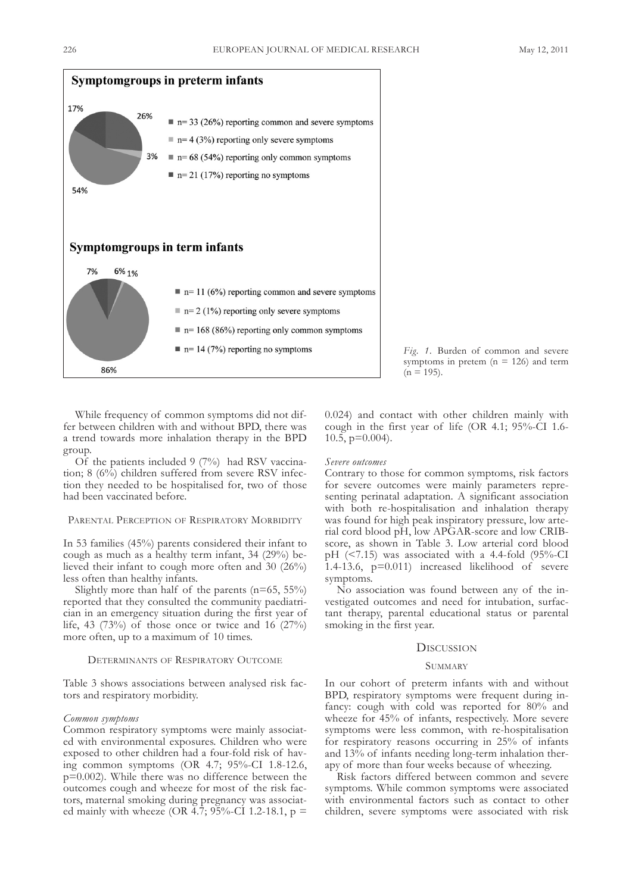



While frequency of common symptoms did not differ between children with and without BPD, there was a trend towards more inhalation therapy in the BPD group.

Of the patients included  $9(7%)$  had RSV vaccination;  $8(6\%)$  children suffered from severe RSV infection they needed to be hospitalised for, two of those had been vaccinated before.

# PARENTAL PERCEPTION OF RESPIRATORY MORBIDITY

In 53 families (45%) parents considered their infant to cough as much as a healthy term infant, 34 (29%) believed their infant to cough more often and 30 (26%) less often than healthy infants.

Slightly more than half of the parents  $(n=65, 55%)$ reported that they consulted the community paediatrician in an emergency situation during the first year of life, 43 (73%) of those once or twice and 16 (27%) more often, up to a maximum of 10 times.

#### DETERMINANTS OF RESPIRATORY OUTCOME

Table 3 shows associations between analysed risk factors and respiratory morbidity.

#### *Common symptoms*

Common respiratory symptoms were mainly associated with environmental exposures. Children who were exposed to other children had a four-fold risk of having common symptoms (oR 4.7; 95%-CI 1.8-12.6, p=0.002). While there was no difference between the outcomes cough and wheeze for most of the risk factors, maternal smoking during pregnancy was associated mainly with wheeze (OR 4.7; 95%-CI 1.2-18.1,  $p =$  0.024) and contact with other children mainly with cough in the first year of life (oR 4.1; 95%-CI 1.6- 10.5, p=0.004).

# *Severe outcomes*

Contrary to those for common symptoms, risk factors for severe outcomes were mainly parameters representing perinatal adaptation. A significant association with both re-hospitalisation and inhalation therapy was found for high peak inspiratory pressure, low arterial cord blood pH, low aPGaR-score and low CRIBscore, as shown in Table 3. Low arterial cord blood pH  $(\leq 7.15)$  was associated with a 4.4-fold  $(95\% - CI)$ 1.4-13.6, p=0.011) increased likelihood of severe symptoms.

No association was found between any of the investigated outcomes and need for intubation, surfactant therapy, parental educational status or parental smoking in the first year.

### **DISCUSSION**

### **SUMMARY**

In our cohort of preterm infants with and without BPD, respiratory symptoms were frequent during infancy: cough with cold was reported for 80% and wheeze for 45% of infants, respectively. More severe symptoms were less common, with re-hospitalisation for respiratory reasons occurring in 25% of infants and 13% of infants needing long-term inhalation therapy of more than four weeks because of wheezing.

Risk factors differed between common and severe symptoms. While common symptoms were associated with environmental factors such as contact to other children, severe symptoms were associated with risk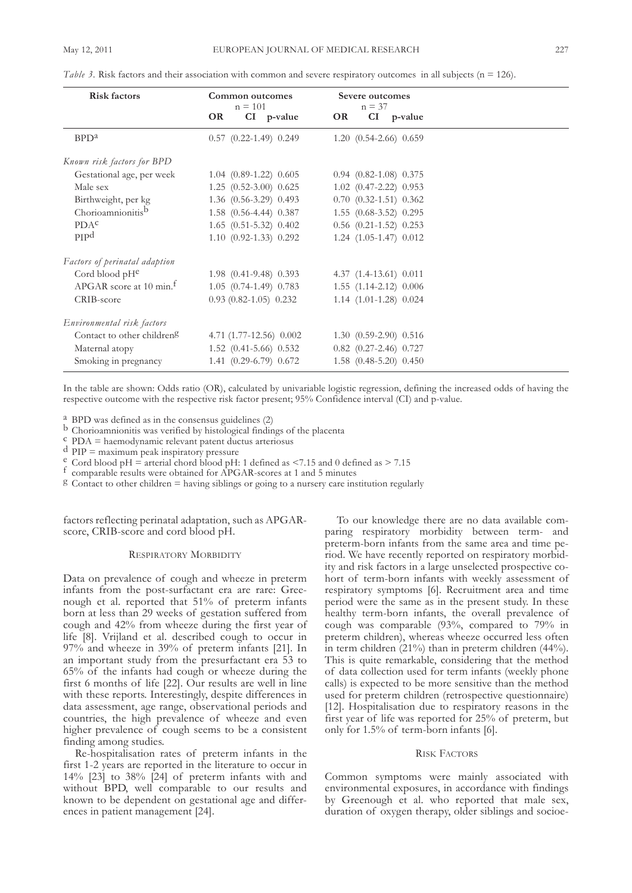| <b>Risk factors</b>                    | Common outcomes<br>$n = 101$   | Severe outcomes<br>$n = 37$    |  |
|----------------------------------------|--------------------------------|--------------------------------|--|
|                                        | <b>OR</b><br>CI p-value        | CI p-value<br>OR               |  |
| BPD <sup>a</sup>                       | $0.57$ $(0.22 - 1.49)$ $0.249$ | $1.20$ $(0.54-2.66)$ $0.659$   |  |
| Known risk factors for BPD             |                                |                                |  |
| Gestational age, per week              | $1.04$ $(0.89-1.22)$ $0.605$   | $0.94$ $(0.82 - 1.08)$ $0.375$ |  |
| Male sex                               | 1.25 (0.52-3.00) 0.625         | 1.02 (0.47-2.22) 0.953         |  |
| Birthweight, per kg                    | 1.36 (0.56-3.29) 0.493         | $0.70$ $(0.32-1.51)$ $0.362$   |  |
| Chorioamnionitisb                      | $1.58$ $(0.56-4.44)$ $0.387$   | $1.55$ $(0.68-3.52)$ $0.295$   |  |
| PDA <sup>c</sup>                       | $1.65$ $(0.51 - 5.32)$ $0.402$ | $0.56$ $(0.21 - 1.52)$ $0.253$ |  |
| PIP <sup>d</sup>                       | $1.10$ $(0.92-1.33)$ $0.292$   | $1.24$ $(1.05-1.47)$ $0.012$   |  |
| Factors of perinatal adaption          |                                |                                |  |
| Cord blood $pH^e$                      | $1.98$ $(0.41-9.48)$ 0.393     | 4.37 (1.4-13.61) 0.011         |  |
| APGAR score at 10 min. <sup>f</sup>    | $1.05$ $(0.74-1.49)$ $0.783$   | 1.55 (1.14-2.12) 0.006         |  |
| CRIB-score                             | $0.93(0.82 - 1.05)0.232$       | 1.14 (1.01-1.28) 0.024         |  |
| Environmental risk factors             |                                |                                |  |
| Contact to other children <sup>g</sup> | 4.71 $(1.77-12.56)$ 0.002      | 1.30 (0.59-2.90) 0.516         |  |
| Maternal atopy                         | 1.52 (0.41-5.66) 0.532         | $0.82$ $(0.27 - 2.46)$ $0.727$ |  |
| Smoking in pregnancy                   | 1.41 (0.29-6.79) 0.672         | 1.58 (0.48-5.20) 0.450         |  |

*Table* 3. Risk factors and their association with common and severe respiratory outcomes in all subjects (n = 126).

In the table are shown: Odds ratio (OR), calculated by univariable logistic regression, defining the increased odds of having the respective outcome with the respective risk factor present; 95% Confidence interval (CI) and p-value.

<sup>a</sup> BPD was defined as in the consensus guidelines (2)<br>
<sup>b</sup> Chorioamnionitis was verified by histological findings of the placenta<br>
<sup>c</sup> PDA = haemodynamic relevant patent ductus arteriosus<br>
<sup>d</sup> PIP = maximum peak inspirat

f comparable results were obtained for APGAR-scores at 1 and 5 minutes g Contact to other children = having siblings or going to a nursery care institution regularly

factors reflecting perinatal adaptation, such as APGARscore, CRIB-score and cord blood pH.

# RESPIRATORY MORBIDITY

Data on prevalence of cough and wheeze in preterm infants from the post-surfactant era are rare: Greenough et al. reported that 51% of preterm infants born at less than 29 weeks of gestation suffered from cough and 42% from wheeze during the first year of life [8]. Vrijland et al. described cough to occur in 97% and wheeze in 39% of preterm infants [21]. In an important study from the presurfactant era 53 to 65% of the infants had cough or wheeze during the first 6 months of life [22]. Our results are well in line with these reports. Interestingly, despite differences in data assessment, age range, observational periods and countries, the high prevalence of wheeze and even higher prevalence of cough seems to be a consistent finding among studies.

Re-hospitalisation rates of preterm infants in the first 1-2 years are reported in the literature to occur in 14% [23] to 38% [24] of preterm infants with and without BPD, well comparable to our results and known to be dependent on gestational age and differences in patient management [24].

To our knowledge there are no data available comparing respiratory morbidity between term- and preterm-born infants from the same area and time period. We have recently reported on respiratory morbidity and risk factors in a large unselected prospective cohort of term-born infants with weekly assessment of respiratory symptoms [6]. Recruitment area and time period were the same as in the present study. In these healthy term-born infants, the overall prevalence of cough was comparable (93%, compared to 79% in preterm children), whereas wheeze occurred less often in term children (21%) than in preterm children (44%). This is quite remarkable, considering that the method of data collection used for term infants (weekly phone calls) is expected to be more sensitive than the method used for preterm children (retrospective questionnaire) [12]. Hospitalisation due to respiratory reasons in the first year of life was reported for 25% of preterm, but only for 1.5% of term-born infants [6].

# RISK FACTORS

Common symptoms were mainly associated with environmental exposures, in accordance with findings by Greenough et al. who reported that male sex, duration of oxygen therapy, older siblings and socioe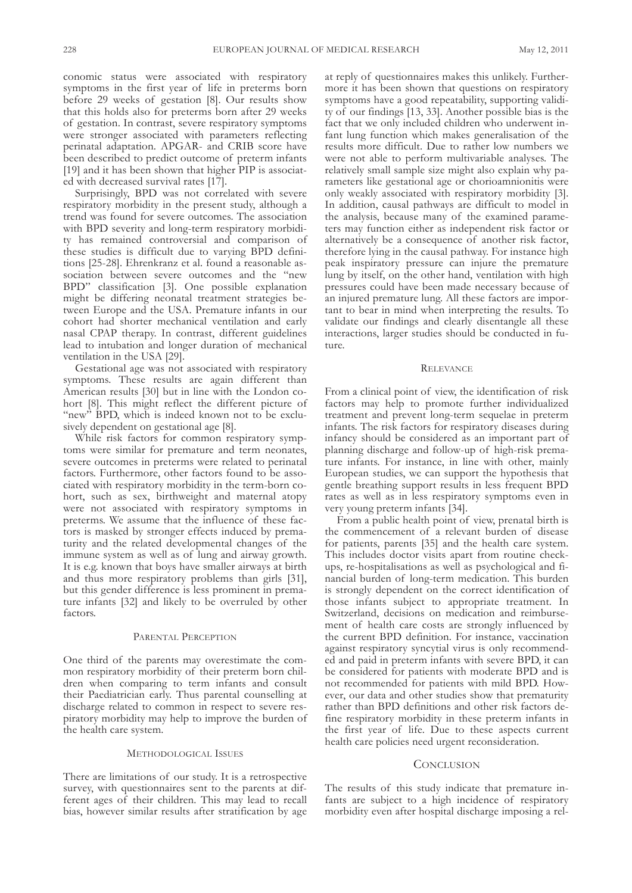conomic status were associated with respiratory symptoms in the first year of life in preterms born before 29 weeks of gestation [8]. Our results show that this holds also for preterms born after 29 weeks of gestation. In contrast, severe respiratory symptoms were stronger associated with parameters reflecting perinatal adaptation. aPGaR- and CRIB score have been described to predict outcome of preterm infants [19] and it has been shown that higher PIP is associated with decreased survival rates [17].

Surprisingly, BPD was not correlated with severe respiratory morbidity in the present study, although a trend was found for severe outcomes. The association with BPD severity and long-term respiratory morbidity has remained controversial and comparison of these studies is difficult due to varying BPD definitions [25-28]. Ehrenkranz et al. found a reasonable association between severe outcomes and the "new BPD" classification [3]. One possible explanation might be differing neonatal treatment strategies between Europe and the USA. Premature infants in our cohort had shorter mechanical ventilation and early nasal CPaP therapy. In contrast, different guidelines lead to intubation and longer duration of mechanical ventilation in the USA [29].

Gestational age was not associated with respiratory symptoms. These results are again different than American results [30] but in line with the London cohort [8]. This might reflect the different picture of "new" BPD, which is indeed known not to be exclusively dependent on gestational age [8].

While risk factors for common respiratory symptoms were similar for premature and term neonates, severe outcomes in preterms were related to perinatal factors. furthermore, other factors found to be associated with respiratory morbidity in the term-born cohort, such as sex, birthweight and maternal atopy were not associated with respiratory symptoms in preterms. We assume that the influence of these factors is masked by stronger effects induced by prematurity and the related developmental changes of the immune system as well as of lung and airway growth. It is e.g. known that boys have smaller airways at birth and thus more respiratory problems than girls [31], but this gender difference is less prominent in premature infants [32] and likely to be overruled by other factors.

# PARENTAL PERCEPTION

One third of the parents may overestimate the common respiratory morbidity of their preterm born children when comparing to term infants and consult their Paediatrician early. Thus parental counselling at discharge related to common in respect to severe respiratory morbidity may help to improve the burden of the health care system.

# MEtHodoLoGICaL IssuEs

There are limitations of our study. It is a retrospective survey, with questionnaires sent to the parents at different ages of their children. This may lead to recall bias, however similar results after stratification by age at reply of questionnaires makes this unlikely. furthermore it has been shown that questions on respiratory symptoms have a good repeatability, supporting validity of our findings [13, 33]. Another possible bias is the fact that we only included children who underwent infant lung function which makes generalisation of the results more difficult. Due to rather low numbers we were not able to perform multivariable analyses. The relatively small sample size might also explain why parameters like gestational age or chorioamnionitis were only weakly associated with respiratory morbidity [3]. In addition, causal pathways are difficult to model in the analysis, because many of the examined parameters may function either as independent risk factor or alternatively be a consequence of another risk factor, therefore lying in the causal pathway. for instance high peak inspiratory pressure can injure the premature lung by itself, on the other hand, ventilation with high pressures could have been made necessary because of an injured premature lung. All these factors are important to bear in mind when interpreting the results. To validate our findings and clearly disentangle all these interactions, larger studies should be conducted in future.

### **RELEVANCE**

from a clinical point of view, the identification of risk factors may help to promote further individualized treatment and prevent long-term sequelae in preterm infants. The risk factors for respiratory diseases during infancy should be considered as an important part of planning discharge and follow-up of high-risk premature infants. for instance, in line with other, mainly European studies, we can support the hypothesis that gentle breathing support results in less frequent BPD rates as well as in less respiratory symptoms even in very young preterm infants [34].

from a public health point of view, prenatal birth is the commencement of a relevant burden of disease for patients, parents [35] and the health care system. This includes doctor visits apart from routine checkups, re-hospitalisations as well as psychological and financial burden of long-term medication. This burden is strongly dependent on the correct identification of those infants subject to appropriate treatment. In switzerland, decisions on medication and reimbursement of health care costs are strongly influenced by the current BPD definition. For instance, vaccination against respiratory syncytial virus is only recommended and paid in preterm infants with severe BPD, it can be considered for patients with moderate BPD and is not recommended for patients with mild BPD. However, our data and other studies show that prematurity rather than BPD definitions and other risk factors define respiratory morbidity in these preterm infants in the first year of life. Due to these aspects current health care policies need urgent reconsideration.

# **CONCLUSION**

The results of this study indicate that premature infants are subject to a high incidence of respiratory morbidity even after hospital discharge imposing a rel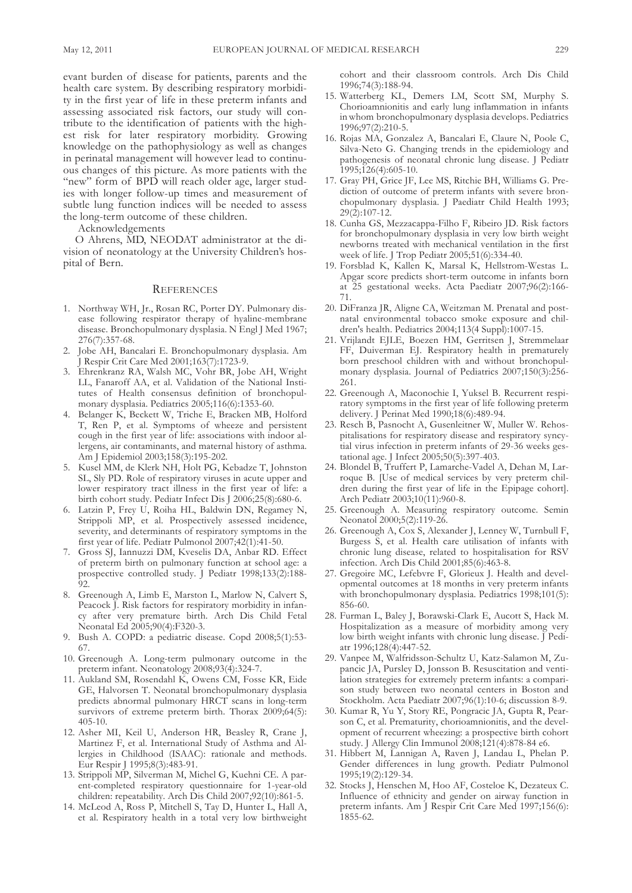evant burden of disease for patients, parents and the health care system. By describing respiratory morbidity in the first year of life in these preterm infants and assessing associated risk factors, our study will contribute to the identification of patients with the highest risk for later respiratory morbidity. Growing knowledge on the pathophysiology as well as changes in perinatal management will however lead to continuous changes of this picture. As more patients with the "new" form of BPD will reach older age, larger studies with longer follow-up times and measurement of subtle lung function indices will be needed to assess the long-term outcome of these children.

acknowledgements

O Ahrens, MD, NEODAT administrator at the division of neonatology at the University Children's hospital of Bern.

# **REFERENCES**

- 1. Northway WH, Jr., Rosan RC, Porter DY. Pulmonary disease following respirator therapy of hyaline-membrane disease. Bronchopulmonary dysplasia. N Engl J Med 1967; 276(7):357-68.
- Jobe AH, Bancalari E. Bronchopulmonary dysplasia. Am J Respir Crit Care Med 2001;163(7):1723-9.
- 3. Ehrenkranz Ra, Walsh MC, Vohr BR, Jobe aH, Wright LL, Fanaroff AA, et al. Validation of the National Institutes of Health consensus definition of bronchopulmonary dysplasia. Pediatrics 2005;116(6):1353-60.
- 4. Belanger K, Beckett W, triche E, Bracken MB, Holford T, Ren P, et al. Symptoms of wheeze and persistent cough in the first year of life: associations with indoor allergens, air contaminants, and maternal history of asthma. am J Epidemiol 2003;158(3):195-202.
- 5. Kusel MM, de Klerk NH, Holt PG, Kebadze T, Johnston SL, Sly PD. Role of respiratory viruses in acute upper and lower respiratory tract illness in the first year of life: a birth cohort study. Pediatr Infect Dis J 2006;25(8):680-6.
- 6. Latzin P, Frey U, Roiha HL, Baldwin DN, Regamey N, strippoli MP, et al. Prospectively assessed incidence, severity, and determinants of respiratory symptoms in the first year of life. Pediatr Pulmonol 2007;42(1):41-50.
- 7. Gross SJ, Iannuzzi DM, Kveselis DA, Anbar RD. Effect of preterm birth on pulmonary function at school age: a prospective controlled study. J Pediatr 1998;133(2):188-  $\overline{92}$
- 8. Greenough A, Limb E, Marston L, Marlow N, Calvert S, Peacock J. Risk factors for respiratory morbidity in infancy after very premature birth. Arch Dis Child Fetal neonatal Ed 2005;90(4):f320-3.
- 9. Bush A. COPD: a pediatric disease. Copd 2008;5(1):53-67.
- 10. Greenough A. Long-term pulmonary outcome in the preterm infant. Neonatology 2008;93(4):324-7.
- 11. aukland sM, Rosendahl K, owens CM, fosse KR, Eide GE, Halvorsen T. Neonatal bronchopulmonary dysplasia predicts abnormal pulmonary HRCT scans in long-term survivors of extreme preterm birth. Thorax 2009;64(5): 405-10.
- 12. Asher MI, Keil U, Anderson HR, Beasley R, Crane J, Martinez F, et al. International Study of Asthma and Allergies in Childhood (ISAAC): rationale and methods. Eur Respir J 1995;8(3):483-91.
- 13. strippoli MP, silverman M, Michel G, Kuehni CE. a parent-completed respiratory questionnaire for 1-year-old children: repeatability. Arch Dis Child 2007;92(10):861-5.
- 14. McLeod A, Ross P, Mitchell S, Tay D, Hunter L, Hall A, et al. Respiratory health in a total very low birthweight

cohort and their classroom controls. Arch Dis Child 1996;74(3):188-94.

- 15. Watterberg KL, Demers LM, Scott SM, Murphy S. Chorioamnionitis and early lung inflammation in infants inwhom bronchopulmonary dysplasia develops. Pediatrics 1996;97(2):210-5.
- 16. Rojas MA, Gonzalez A, Bancalari E, Claure N, Poole C, Silva-Neto G. Changing trends in the epidemiology and pathogenesis of neonatal chronic lung disease. J Pediatr 1995;126(4):605-10.
- 17. Gray PH, Grice Jf, Lee Ms, Ritchie BH, Williams G. Prediction of outcome of preterm infants with severe bronchopulmonary dysplasia. J Paediatr Child Health 1993; 29(2):107-12.
- 18. Cunha GS, Mezzacappa-Filho F, Ribeiro JD. Risk factors for bronchopulmonary dysplasia in very low birth weight newborns treated with mechanical ventilation in the first week of life. J Trop Pediatr 2005;51(6):334-40.
- 19. forsblad K, Kallen K, Marsal K, Hellstrom-Westas L. Apgar score predicts short-term outcome in infants born at 25 gestational weeks. acta Paediatr 2007;96(2):166- 71.
- 20. DiFranza JR, Aligne CA, Weitzman M. Prenatal and postnatal environmental tobacco smoke exposure and children's health. Pediatrics 2004;113(4 suppl):1007-15.
- 21. Vrijlandt EJLE, Boezen HM, Gerritsen J, stremmelaar FF, Duiverman EJ. Respiratory health in prematurely born preschool children with and without bronchopulmonary dysplasia. Journal of Pediatrics 2007;150(3):256- 261.
- 22. Greenough A, Maconochie I, Yuksel B. Recurrent respiratory symptoms in the first year of life following preterm delivery. J Perinat Med 1990;18(6):489-94.
- 23. Resch B, Pasnocht A, Gusenleitner W, Muller W. Rehospitalisations for respiratory disease and respiratory syncytial virus infection in preterm infants of 29-36 weeks gestational age. J Infect 2005;50(5):397-403.
- 24. Blondel B, Truffert P, Lamarche-Vadel A, Dehan M, Larroque B. [Use of medical services by very preterm children during the first year of life in the Epipage cohort]. arch Pediatr 2003;10(11):960-8.
- 25. Greenough A. Measuring respiratory outcome. Semin neonatol 2000;5(2):119-26.
- 26. Greenough A, Cox S, Alexander J, Lenney W, Turnbull F, Burgess s, et al. Health care utilisation of infants with chronic lung disease, related to hospitalisation for RsV infection. Arch Dis Child 2001;85(6):463-8.
- 27. Gregoire MC, Lefebvre f, Glorieux J. Health and developmental outcomes at 18 months in very preterm infants with bronchopulmonary dysplasia. Pediatrics 1998;101(5): 856-60.
- 28. Furman L, Baley J, Borawski-Clark E, Aucott S, Hack M. Hospitalization as a measure of morbidity among very low birth weight infants with chronic lung disease. J Pediatr 1996;128(4):447-52.
- 29. Vanpee M, Walfridsson-Schultz U, Katz-Salamon M, Zupancic JA, Pursley D, Jonsson B. Resuscitation and ventilation strategies for extremely preterm infants: a comparison study between two neonatal centers in Boston and stockholm. acta Paediatr 2007;96(1):10-6; discussion 8-9.
- 30. Kumar R, yu y, story RE, Pongracic Ja, Gupta R, Pearson C, et al. Prematurity, chorioamnionitis, and the development of recurrent wheezing: a prospective birth cohort study. J allergy Clin Immunol 2008;121(4):878-84 e6.
- 31. Hibbert M, Lannigan a, Raven J, Landau L, Phelan P. Gender differences in lung growth. Pediatr Pulmonol 1995;19(2):129-34.
- 32. Stocks J, Henschen M, Hoo AF, Costeloe K, Dezateux C. Influence of ethnicity and gender on airway function in preterm infants. Am J Respir Crit Care Med 1997;156(6): 1855-62.